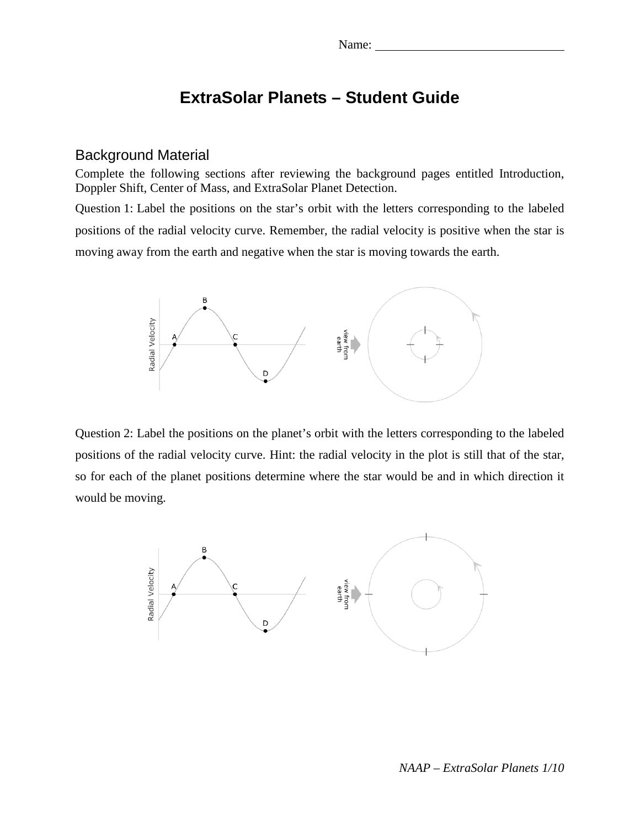# **ExtraSolar Planets – Student Guide**

#### Background Material

Complete the following sections after reviewing the background pages entitled Introduction, Doppler Shift, Center of Mass, and ExtraSolar Planet Detection.

Question 1: Label the positions on the star's orbit with the letters corresponding to the labeled positions of the radial velocity curve. Remember, the radial velocity is positive when the star is moving away from the earth and negative when the star is moving towards the earth.



Question 2: Label the positions on the planet's orbit with the letters corresponding to the labeled positions of the radial velocity curve. Hint: the radial velocity in the plot is still that of the star, so for each of the planet positions determine where the star would be and in which direction it would be moving.

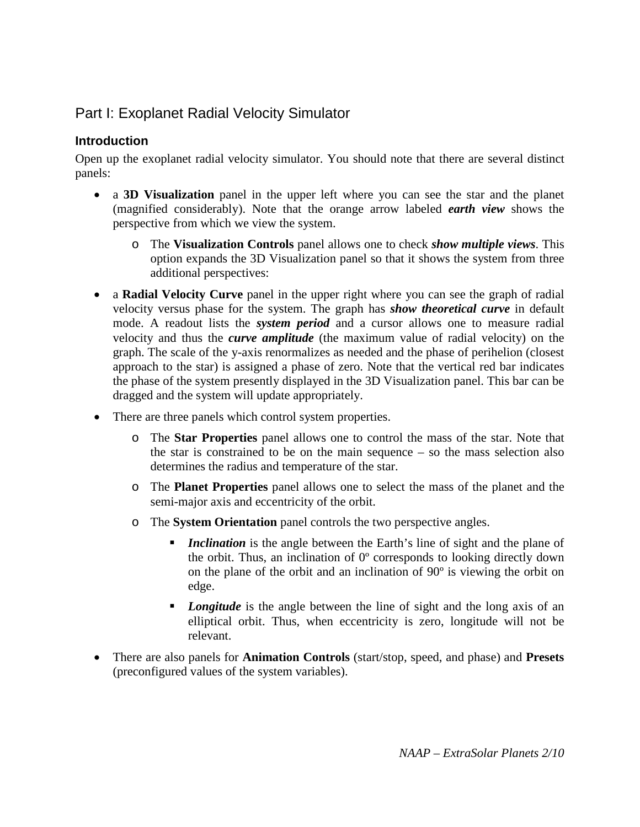# Part I: Exoplanet Radial Velocity Simulator

### **Introduction**

Open up the exoplanet radial velocity simulator. You should note that there are several distinct panels:

- a **3D Visualization** panel in the upper left where you can see the star and the planet (magnified considerably). Note that the orange arrow labeled *earth view* shows the perspective from which we view the system.
	- o The **Visualization Controls** panel allows one to check *show multiple views*. This option expands the 3D Visualization panel so that it shows the system from three additional perspectives:
- a **Radial Velocity Curve** panel in the upper right where you can see the graph of radial velocity versus phase for the system. The graph has *show theoretical curve* in default mode. A readout lists the *system period* and a cursor allows one to measure radial velocity and thus the *curve amplitude* (the maximum value of radial velocity) on the graph. The scale of the y-axis renormalizes as needed and the phase of perihelion (closest approach to the star) is assigned a phase of zero. Note that the vertical red bar indicates the phase of the system presently displayed in the 3D Visualization panel. This bar can be dragged and the system will update appropriately.
- There are three panels which control system properties.
	- o The **Star Properties** panel allows one to control the mass of the star. Note that the star is constrained to be on the main sequence – so the mass selection also determines the radius and temperature of the star.
	- o The **Planet Properties** panel allows one to select the mass of the planet and the semi-major axis and eccentricity of the orbit.
	- o The **System Orientation** panel controls the two perspective angles.
		- *Inclination* is the angle between the Earth's line of sight and the plane of the orbit. Thus, an inclination of 0º corresponds to looking directly down on the plane of the orbit and an inclination of 90º is viewing the orbit on edge.
		- **Longitude** is the angle between the line of sight and the long axis of an elliptical orbit. Thus, when eccentricity is zero, longitude will not be relevant.
- There are also panels for **Animation Controls** (start/stop, speed, and phase) and **Presets** (preconfigured values of the system variables).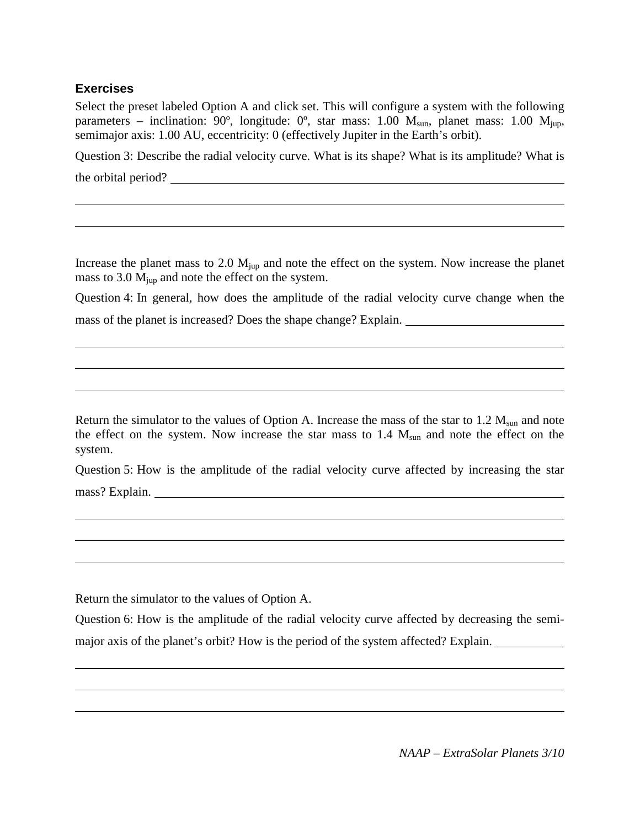#### **Exercises**

Select the preset labeled Option A and click set. This will configure a system with the following parameters – inclination: 90°, longitude: 0°, star mass: 1.00  $M_{sun}$ , planet mass: 1.00  $M_{iup}$ , semimajor axis: 1.00 AU, eccentricity: 0 (effectively Jupiter in the Earth's orbit).

Question 3: Describe the radial velocity curve. What is its shape? What is its amplitude? What is the orbital period?

Increase the planet mass to 2.0  $M_{\text{iup}}$  and note the effect on the system. Now increase the planet mass to  $3.0 \text{ M}_{\text{iun}}$  and note the effect on the system.

Question 4: In general, how does the amplitude of the radial velocity curve change when the mass of the planet is increased? Does the shape change? Explain.

Return the simulator to the values of Option A. Increase the mass of the star to  $1.2 M_{sun}$  and note the effect on the system. Now increase the star mass to  $1.4$   $M_{sun}$  and note the effect on the system.

Question 5: How is the amplitude of the radial velocity curve affected by increasing the star mass? Explain.

Return the simulator to the values of Option A.

Question 6: How is the amplitude of the radial velocity curve affected by decreasing the semimajor axis of the planet's orbit? How is the period of the system affected? Explain.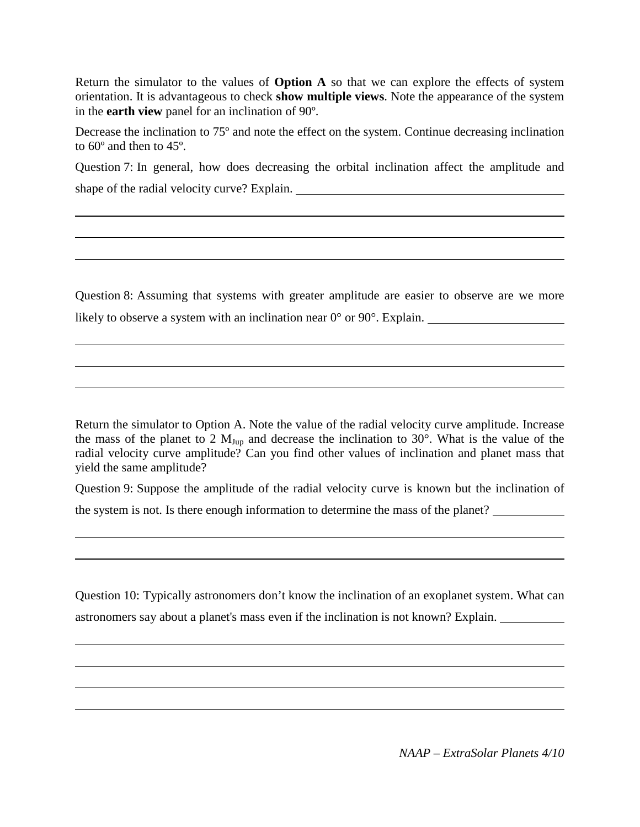Return the simulator to the values of **Option A** so that we can explore the effects of system orientation. It is advantageous to check **show multiple views**. Note the appearance of the system in the **earth view** panel for an inclination of 90º.

Decrease the inclination to 75º and note the effect on the system. Continue decreasing inclination to 60º and then to 45º.

Question 7: In general, how does decreasing the orbital inclination affect the amplitude and shape of the radial velocity curve? Explain.

Question 8: Assuming that systems with greater amplitude are easier to observe are we more likely to observe a system with an inclination near 0° or 90°. Explain.

Return the simulator to Option A. Note the value of the radial velocity curve amplitude. Increase the mass of the planet to 2  $M_{Jup}$  and decrease the inclination to 30°. What is the value of the radial velocity curve amplitude? Can you find other values of inclination and planet mass that yield the same amplitude?

Question 9: Suppose the amplitude of the radial velocity curve is known but the inclination of the system is not. Is there enough information to determine the mass of the planet?

Question 10: Typically astronomers don't know the inclination of an exoplanet system. What can astronomers say about a planet's mass even if the inclination is not known? Explain.

*NAAP – ExtraSolar Planets 4/10*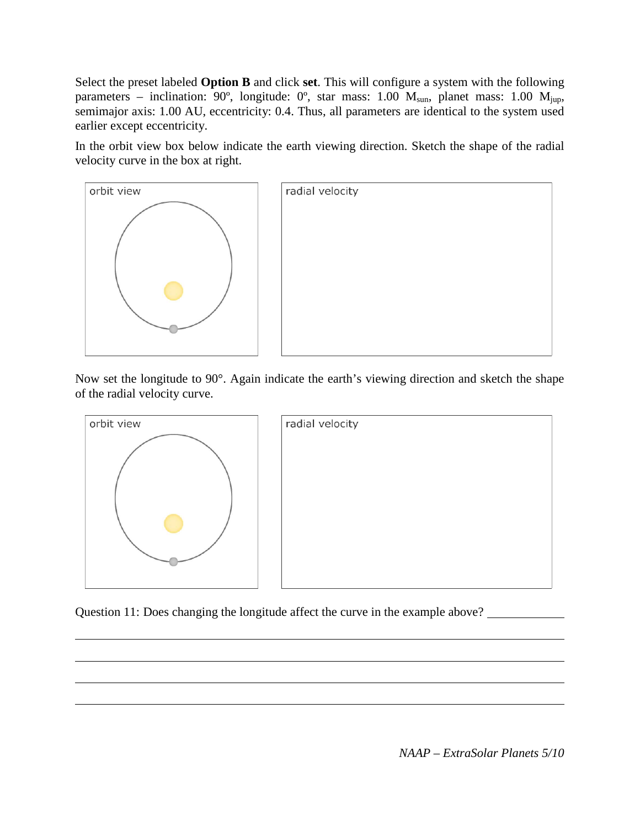Select the preset labeled **Option B** and click **set**. This will configure a system with the following parameters – inclination:  $90^\circ$ , longitude:  $0^\circ$ , star mass: 1.00  $M_{sun}$ , planet mass: 1.00  $M_{iup}$ , semimajor axis: 1.00 AU, eccentricity: 0.4. Thus, all parameters are identical to the system used earlier except eccentricity.

In the orbit view box below indicate the earth viewing direction. Sketch the shape of the radial velocity curve in the box at right.



Now set the longitude to 90°. Again indicate the earth's viewing direction and sketch the shape of the radial velocity curve.



Question 11: Does changing the longitude affect the curve in the example above?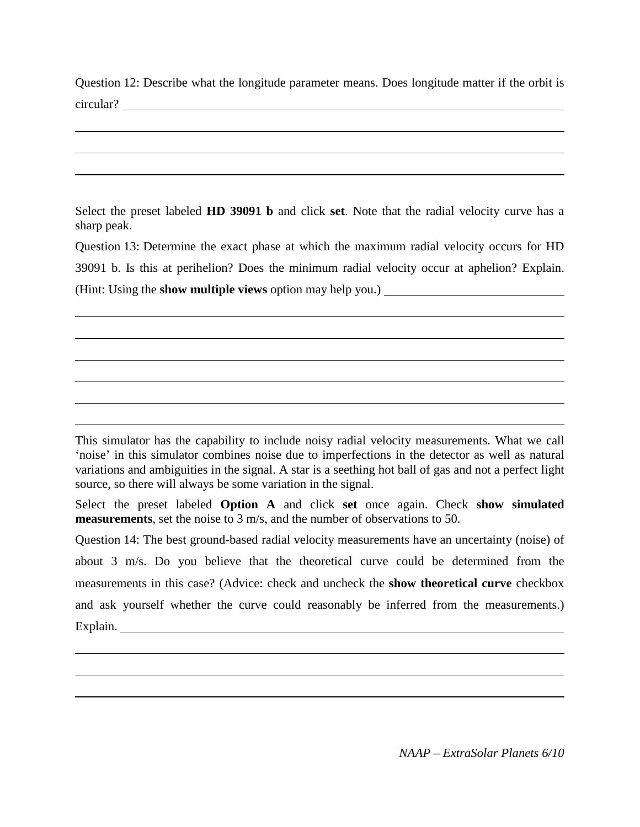Question 12: Describe what the longitude parameter means. Does longitude matter if the orbit is circular?

Select the preset labeled **HD 39091 b** and click **set**. Note that the radial velocity curve has a sharp peak.

Question 13: Determine the exact phase at which the maximum radial velocity occurs for HD 39091 b. Is this at perihelion? Does the minimum radial velocity occur at aphelion? Explain. (Hint: Using the **show multiple views** option may help you.)

This simulator has the capability to include noisy radial velocity measurements. What we call 'noise' in this simulator combines noise due to imperfections in the detector as well as natural variations and ambiguities in the signal. A star is a seething hot ball of gas and not a perfect light source, so there will always be some variation in the signal.

Select the preset labeled **Option A** and click **set** once again. Check **show simulated measurements**, set the noise to 3 m/s, and the number of observations to 50.

Question 14: The best ground-based radial velocity measurements have an uncertainty (noise) of about 3 m/s. Do you believe that the theoretical curve could be determined from the measurements in this case? (Advice: check and uncheck the **show theoretical curve** checkbox and ask yourself whether the curve could reasonably be inferred from the measurements.) Explain.

*NAAP – ExtraSolar Planets 6/10*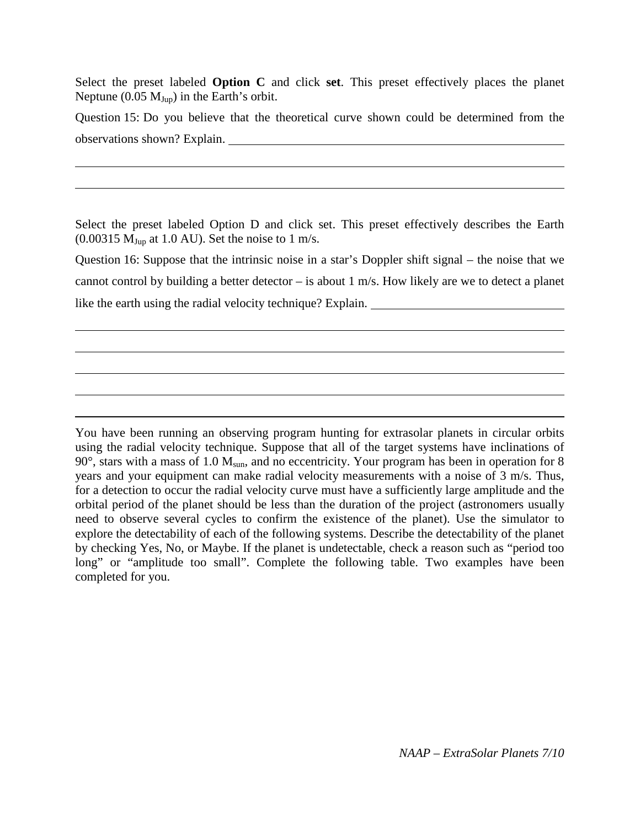Select the preset labeled **Option C** and click **set**. This preset effectively places the planet Neptune (0.05  $M_{Jup}$ ) in the Earth's orbit.

Question 15: Do you believe that the theoretical curve shown could be determined from the observations shown? Explain.

Select the preset labeled Option D and click set. This preset effectively describes the Earth  $(0.00315 \text{ M}_{\text{Jup}})$  at 1.0 AU). Set the noise to 1 m/s.

Question 16: Suppose that the intrinsic noise in a star's Doppler shift signal – the noise that we cannot control by building a better detector – is about 1 m/s. How likely are we to detect a planet like the earth using the radial velocity technique? Explain.

You have been running an observing program hunting for extrasolar planets in circular orbits using the radial velocity technique. Suppose that all of the target systems have inclinations of  $90^\circ$ , stars with a mass of 1.0  $M_{sun}$ , and no eccentricity. Your program has been in operation for 8 years and your equipment can make radial velocity measurements with a noise of 3 m/s. Thus, for a detection to occur the radial velocity curve must have a sufficiently large amplitude and the orbital period of the planet should be less than the duration of the project (astronomers usually need to observe several cycles to confirm the existence of the planet). Use the simulator to explore the detectability of each of the following systems. Describe the detectability of the planet by checking Yes, No, or Maybe. If the planet is undetectable, check a reason such as "period too long" or "amplitude too small". Complete the following table. Two examples have been completed for you.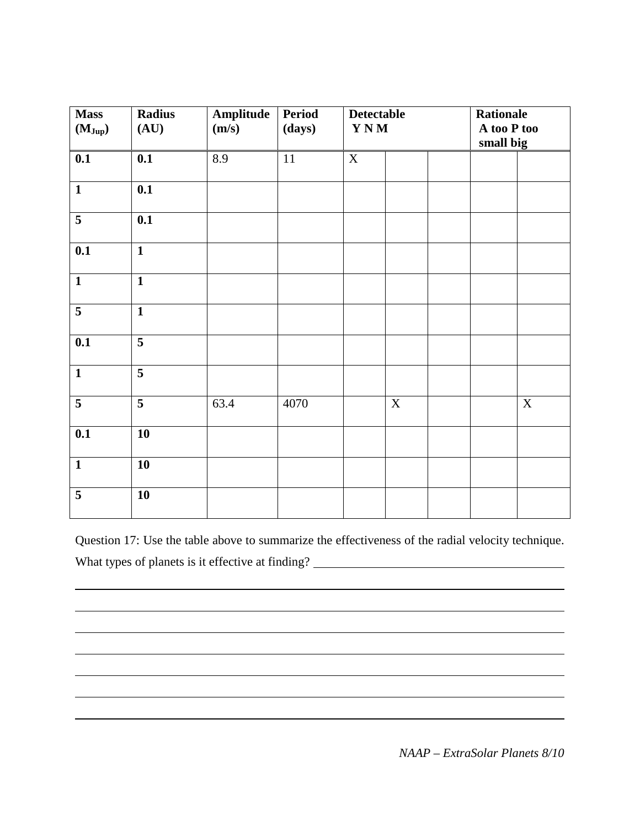| <b>Mass</b><br>$(M_{Jup})$ | <b>Radius</b><br>(AU)   | Amplitude<br>(m/s) | <b>Period</b><br>(days) |             | <b>Detectable</b><br>$\mathbf{Y}\,\mathbf{N}\,\mathbf{M}$ |  | <b>Rationale</b><br>A too P too<br>small big |             |
|----------------------------|-------------------------|--------------------|-------------------------|-------------|-----------------------------------------------------------|--|----------------------------------------------|-------------|
| 0.1                        | 0.1                     | 8.9                | $11\,$                  | $\mathbf X$ |                                                           |  |                                              |             |
| $\overline{\mathbf{1}}$    | 0.1                     |                    |                         |             |                                                           |  |                                              |             |
| $\overline{5}$             | 0.1                     |                    |                         |             |                                                           |  |                                              |             |
| 0.1                        | $\overline{\mathbf{1}}$ |                    |                         |             |                                                           |  |                                              |             |
| $\mathbf{1}$               | $\mathbf{1}$            |                    |                         |             |                                                           |  |                                              |             |
| $\overline{\mathbf{5}}$    | $\mathbf{1}$            |                    |                         |             |                                                           |  |                                              |             |
| 0.1                        | $\overline{\mathbf{5}}$ |                    |                         |             |                                                           |  |                                              |             |
| $\mathbf{1}$               | $\overline{\mathbf{5}}$ |                    |                         |             |                                                           |  |                                              |             |
| 5                          | $\overline{\mathbf{5}}$ | 63.4               | 4070                    |             | $\mathbf X$                                               |  |                                              | $\mathbf X$ |
| 0.1                        | 10                      |                    |                         |             |                                                           |  |                                              |             |
| $\mathbf{1}$               | 10                      |                    |                         |             |                                                           |  |                                              |             |
| 5                          | 10                      |                    |                         |             |                                                           |  |                                              |             |

Question 17: Use the table above to summarize the effectiveness of the radial velocity technique. What types of planets is it effective at finding?<br>
<u>
</u>

*NAAP – ExtraSolar Planets 8/10*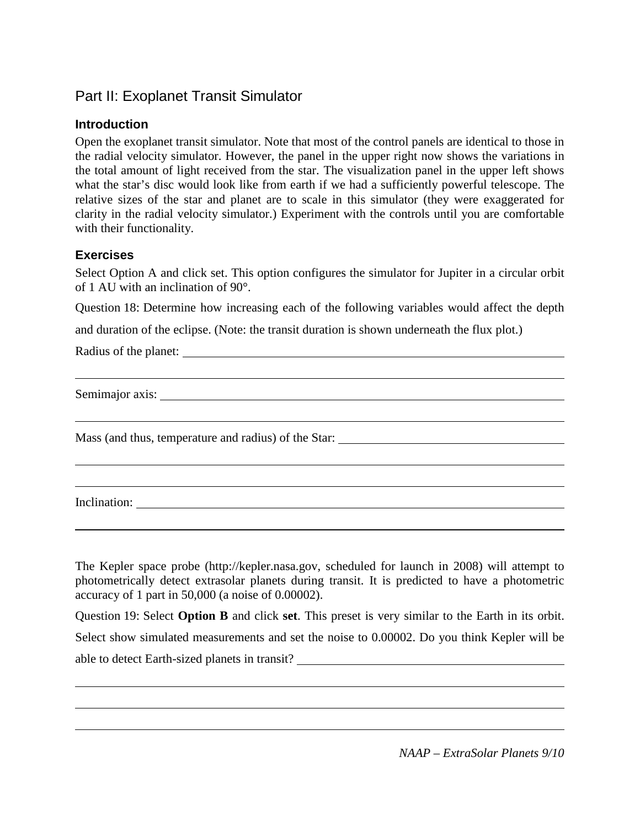# Part II: Exoplanet Transit Simulator

## **Introduction**

Open the exoplanet transit simulator. Note that most of the control panels are identical to those in the radial velocity simulator. However, the panel in the upper right now shows the variations in the total amount of light received from the star. The visualization panel in the upper left shows what the star's disc would look like from earth if we had a sufficiently powerful telescope. The relative sizes of the star and planet are to scale in this simulator (they were exaggerated for clarity in the radial velocity simulator.) Experiment with the controls until you are comfortable with their functionality.

### **Exercises**

Select Option A and click set. This option configures the simulator for Jupiter in a circular orbit of 1 AU with an inclination of 90°.

Question 18: Determine how increasing each of the following variables would affect the depth

and duration of the eclipse. (Note: the transit duration is shown underneath the flux plot.)

Radius of the planet:

Semimajor axis:

Mass (and thus, temperature and radius) of the Star:

Inclination:

The Kepler space probe [\(http://kepler.nasa.gov,](http://kepler.nasa.gov/) scheduled for launch in 2008) will attempt to photometrically detect extrasolar planets during transit. It is predicted to have a photometric accuracy of 1 part in 50,000 (a noise of 0.00002).

Question 19: Select **Option B** and click **set**. This preset is very similar to the Earth in its orbit. Select show simulated measurements and set the noise to 0.00002. Do you think Kepler will be able to detect Earth-sized planets in transit?